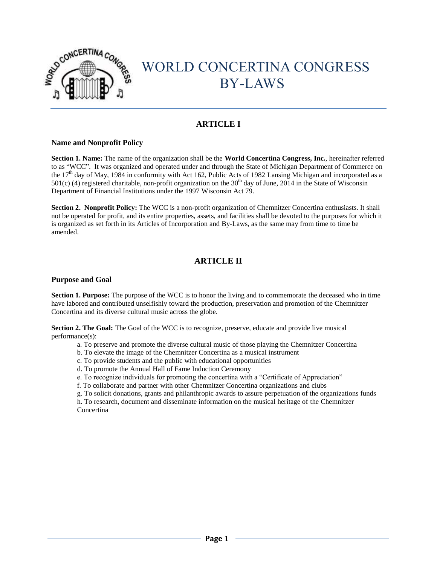

# CONCERTINA CONGRESS BY-LAWS

# **ARTICLE I**

## **Name and Nonprofit Policy**

**Section 1. Name:** The name of the organization shall be the **World Concertina Congress, Inc.**, hereinafter referred to as "WCC". It was organized and operated under and through the State of Michigan Department of Commerce on the 17<sup>th</sup> day of May, 1984 in conformity with Act 162, Public Acts of 1982 Lansing Michigan and incorporated as a  $501(c)$  (4) registered charitable, non-profit organization on the 30<sup>th</sup> day of June, 2014 in the State of Wisconsin Department of Financial Institutions under the 1997 Wisconsin Act 79.

**Section 2. Nonprofit Policy:** The WCC is a non-profit organization of Chemnitzer Concertina enthusiasts. It shall not be operated for profit, and its entire properties, assets, and facilities shall be devoted to the purposes for which it is organized as set forth in its Articles of Incorporation and By-Laws, as the same may from time to time be amended.

# **ARTICLE II**

## **Purpose and Goal**

**Section 1. Purpose:** The purpose of the WCC is to honor the living and to commemorate the deceased who in time have labored and contributed unselfishly toward the production, preservation and promotion of the Chemnitzer Concertina and its diverse cultural music across the globe.

**Section 2. The Goal:** The Goal of the WCC is to recognize, preserve, educate and provide live musical performance(s):

- a. To preserve and promote the diverse cultural music of those playing the Chemnitzer Concertina
- b. To elevate the image of the Chemnitzer Concertina as a musical instrument
- c. To provide students and the public with educational opportunities
- d. To promote the Annual Hall of Fame Induction Ceremony
- e. To recognize individuals for promoting the concertina with a "Certificate of Appreciation"
- f. To collaborate and partner with other Chemnitzer Concertina organizations and clubs
- g. To solicit donations, grants and philanthropic awards to assure perpetuation of the organizations funds

h. To research, document and disseminate information on the musical heritage of the Chemnitzer **Concertina**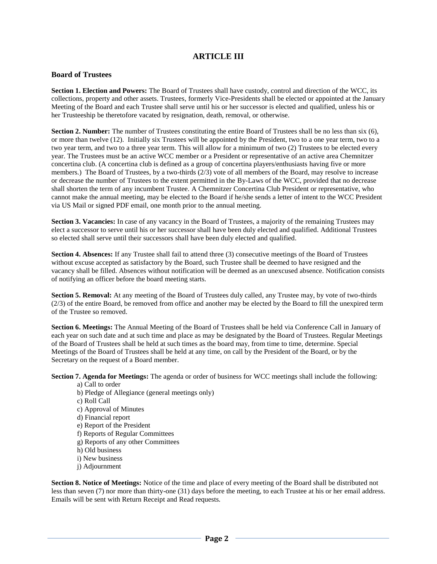## **ARTICLE III**

## **Board of Trustees**

**Section 1. Election and Powers:** The Board of Trustees shall have custody, control and direction of the WCC, its collections, property and other assets. Trustees, formerly Vice-Presidents shall be elected or appointed at the January Meeting of the Board and each Trustee shall serve until his or her successor is elected and qualified, unless his or her Trusteeship be theretofore vacated by resignation, death, removal, or otherwise.

**Section 2. Number:** The number of Trustees constituting the entire Board of Trustees shall be no less than six (6), or more than twelve (12). Initially six Trustees will be appointed by the President, two to a one year term, two to a two year term, and two to a three year term. This will allow for a minimum of two (2) Trustees to be elected every year. The Trustees must be an active WCC member or a President or representative of an active area Chemnitzer concertina club. (A concertina club is defined as a group of concertina players/enthusiasts having five or more members.) The Board of Trustees, by a two-thirds (2/3) vote of all members of the Board, may resolve to increase or decrease the number of Trustees to the extent permitted in the By-Laws of the WCC, provided that no decrease shall shorten the term of any incumbent Trustee. A Chemnitzer Concertina Club President or representative, who cannot make the annual meeting, may be elected to the Board if he/she sends a letter of intent to the WCC President via US Mail or signed PDF email, one month prior to the annual meeting.

**Section 3. Vacancies:** In case of any vacancy in the Board of Trustees, a majority of the remaining Trustees may elect a successor to serve until his or her successor shall have been duly elected and qualified. Additional Trustees so elected shall serve until their successors shall have been duly elected and qualified.

**Section 4. Absences:** If any Trustee shall fail to attend three (3) consecutive meetings of the Board of Trustees without excuse accepted as satisfactory by the Board, such Trustee shall be deemed to have resigned and the vacancy shall be filled. Absences without notification will be deemed as an unexcused absence. Notification consists of notifying an officer before the board meeting starts.

**Section 5. Removal:** At any meeting of the Board of Trustees duly called, any Trustee may, by vote of two-thirds (2/3) of the entire Board, be removed from office and another may be elected by the Board to fill the unexpired term of the Trustee so removed.

**Section 6. Meetings:** The Annual Meeting of the Board of Trustees shall be held via Conference Call in January of each year on such date and at such time and place as may be designated by the Board of Trustees. Regular Meetings of the Board of Trustees shall be held at such times as the board may, from time to time, determine. Special Meetings of the Board of Trustees shall be held at any time, on call by the President of the Board, or by the Secretary on the request of a Board member.

**Section 7. Agenda for Meetings:** The agenda or order of business for WCC meetings shall include the following:

#### a) Call to order

- b) Pledge of Allegiance (general meetings only)
- c) Roll Call
- c) Approval of Minutes
- d) Financial report
- e) Report of the President
- f) Reports of Regular Committees
- g) Reports of any other Committees
- h) Old business
- i) New business
- j) Adjournment

**Section 8. Notice of Meetings:** Notice of the time and place of every meeting of the Board shall be distributed not less than seven (7) nor more than thirty-one (31) days before the meeting, to each Trustee at his or her email address. Emails will be sent with Return Receipt and Read requests.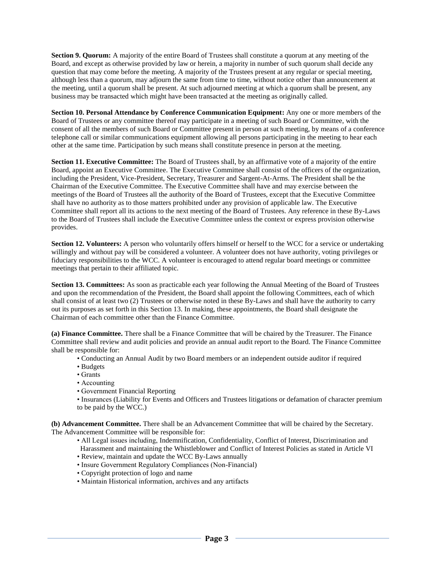**Section 9. Quorum:** A majority of the entire Board of Trustees shall constitute a quorum at any meeting of the Board, and except as otherwise provided by law or herein, a majority in number of such quorum shall decide any question that may come before the meeting. A majority of the Trustees present at any regular or special meeting, although less than a quorum, may adjourn the same from time to time, without notice other than announcement at the meeting, until a quorum shall be present. At such adjourned meeting at which a quorum shall be present, any business may be transacted which might have been transacted at the meeting as originally called.

**Section 10. Personal Attendance by Conference Communication Equipment:** Any one or more members of the Board of Trustees or any committee thereof may participate in a meeting of such Board or Committee, with the consent of all the members of such Board or Committee present in person at such meeting, by means of a conference telephone call or similar communications equipment allowing all persons participating in the meeting to hear each other at the same time. Participation by such means shall constitute presence in person at the meeting.

**Section 11. Executive Committee:** The Board of Trustees shall, by an affirmative vote of a majority of the entire Board, appoint an Executive Committee. The Executive Committee shall consist of the officers of the organization, including the President, Vice-President, Secretary, Treasurer and Sargent-At-Arms. The President shall be the Chairman of the Executive Committee. The Executive Committee shall have and may exercise between the meetings of the Board of Trustees all the authority of the Board of Trustees, except that the Executive Committee shall have no authority as to those matters prohibited under any provision of applicable law. The Executive Committee shall report all its actions to the next meeting of the Board of Trustees. Any reference in these By-Laws to the Board of Trustees shall include the Executive Committee unless the context or express provision otherwise provides.

**Section 12. Volunteers:** A person who voluntarily offers himself or herself to the WCC for a service or undertaking willingly and without pay will be considered a volunteer. A volunteer does not have authority, voting privileges or fiduciary responsibilities to the WCC. A volunteer is encouraged to attend regular board meetings or committee meetings that pertain to their affiliated topic.

**Section 13. Committees:** As soon as practicable each year following the Annual Meeting of the Board of Trustees and upon the recommendation of the President, the Board shall appoint the following Committees, each of which shall consist of at least two (2) Trustees or otherwise noted in these By-Laws and shall have the authority to carry out its purposes as set forth in this Section 13. In making, these appointments, the Board shall designate the Chairman of each committee other than the Finance Committee.

**(a) Finance Committee.** There shall be a Finance Committee that will be chaired by the Treasurer. The Finance Committee shall review and audit policies and provide an annual audit report to the Board. The Finance Committee shall be responsible for:

- Conducting an Annual Audit by two Board members or an independent outside auditor if required
- Budgets
- Grants
- Accounting
- Government Financial Reporting
- Insurances (Liability for Events and Officers and Trustees litigations or defamation of character premium to be paid by the WCC.)

**(b) Advancement Committee.** There shall be an Advancement Committee that will be chaired by the Secretary. The Advancement Committee will be responsible for:

- All Legal issues including, Indemnification, Confidentiality, Conflict of Interest, Discrimination and Harassment and maintaining the Whistleblower and Conflict of Interest Policies as stated in Article VI
- Review, maintain and update the WCC By-Laws annually
- Insure Government Regulatory Compliances (Non-Financial)
- Copyright protection of logo and name
- Maintain Historical information, archives and any artifacts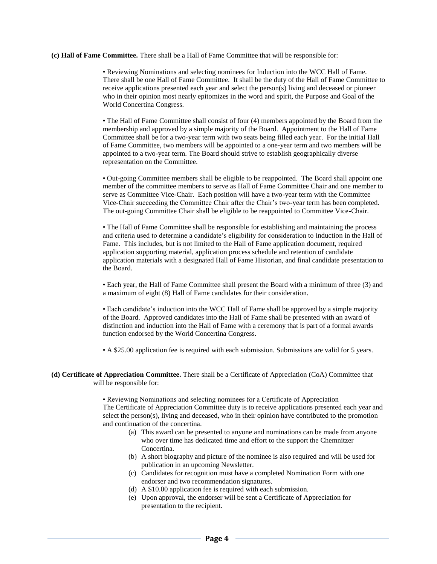**(c) Hall of Fame Committee.** There shall be a Hall of Fame Committee that will be responsible for:

• Reviewing Nominations and selecting nominees for Induction into the WCC Hall of Fame. There shall be one Hall of Fame Committee. It shall be the duty of the Hall of Fame Committee to receive applications presented each year and select the person(s) living and deceased or pioneer who in their opinion most nearly epitomizes in the word and spirit, the Purpose and Goal of the World Concertina Congress.

• The Hall of Fame Committee shall consist of four (4) members appointed by the Board from the membership and approved by a simple majority of the Board. Appointment to the Hall of Fame Committee shall be for a two-year term with two seats being filled each year. For the initial Hall of Fame Committee, two members will be appointed to a one-year term and two members will be appointed to a two-year term. The Board should strive to establish geographically diverse representation on the Committee.

• Out-going Committee members shall be eligible to be reappointed. The Board shall appoint one member of the committee members to serve as Hall of Fame Committee Chair and one member to serve as Committee Vice-Chair. Each position will have a two-year term with the Committee Vice-Chair succeeding the Committee Chair after the Chair's two-year term has been completed. The out-going Committee Chair shall be eligible to be reappointed to Committee Vice-Chair.

• The Hall of Fame Committee shall be responsible for establishing and maintaining the process and criteria used to determine a candidate's eligibility for consideration to induction in the Hall of Fame. This includes, but is not limited to the Hall of Fame application document, required application supporting material, application process schedule and retention of candidate application materials with a designated Hall of Fame Historian, and final candidate presentation to the Board.

• Each year, the Hall of Fame Committee shall present the Board with a minimum of three (3) and a maximum of eight (8) Hall of Fame candidates for their consideration.

• Each candidate's induction into the WCC Hall of Fame shall be approved by a simple majority of the Board. Approved candidates into the Hall of Fame shall be presented with an award of distinction and induction into the Hall of Fame with a ceremony that is part of a formal awards function endorsed by the World Concertina Congress.

• A \$25.00 application fee is required with each submission. Submissions are valid for 5 years.

#### **(d) Certificate of Appreciation Committee.** There shall be a Certificate of Appreciation (CoA) Committee that will be responsible for:

• Reviewing Nominations and selecting nominees for a Certificate of Appreciation The Certificate of Appreciation Committee duty is to receive applications presented each year and select the person(s), living and deceased, who in their opinion have contributed to the promotion and continuation of the concertina.

- (a) This award can be presented to anyone and nominations can be made from anyone who over time has dedicated time and effort to the support the Chemnitzer Concertina.
- (b) A short biography and picture of the nominee is also required and will be used for publication in an upcoming Newsletter.
- (c) Candidates for recognition must have a completed Nomination Form with one endorser and two recommendation signatures.
- (d) A \$10.00 application fee is required with each submission.
- (e) Upon approval, the endorser will be sent a Certificate of Appreciation for presentation to the recipient.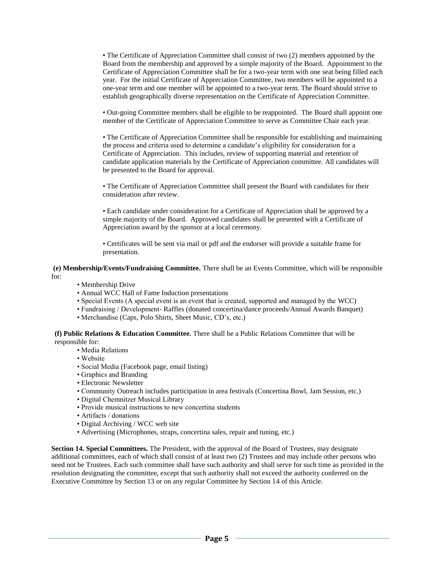• The Certificate of Appreciation Committee shall consist of two (2) members appointed by the Board from the membership and approved by a simple majority of the Board. Appointment to the Certificate of Appreciation Committee shall be for a two-year term with one seat being filled each year. For the initial Certificate of Appreciation Committee, two members will be appointed to a one-year term and one member will be appointed to a two-year term. The Board should strive to establish geographically diverse representation on the Certificate of Appreciation Committee.

• Out-going Committee members shall be eligible to be reappointed. The Board shall appoint one member of the Certificate of Appreciation Committee to serve as Committee Chair each year.

• The Certificate of Appreciation Committee shall be responsible for establishing and maintaining the process and criteria used to determine a candidate's eligibility for consideration for a Certificate of Appreciation. This includes, review of supporting material and retention of candidate application materials by the Certificate of Appreciation committee. All candidates will be presented to the Board for approval.

• The Certificate of Appreciation Committee shall present the Board with candidates for their consideration after review.

• Each candidate under consideration for a Certificate of Appreciation shall be approved by a simple majority of the Board. Approved candidates shall be presented with a Certificate of Appreciation award by the sponsor at a local ceremony.

• Certificates will be sent via mail or pdf and the endorser will provide a suitable frame for presentation.

**(e) Membership/Events/Fundraising Committee.** There shall be an Events Committee, which will be responsible for:

- Membership Drive
- Annual WCC Hall of Fame Induction presentations
- Special Events (A special event is an event that is created, supported and managed by the WCC)
- Fundraising / Development- Raffles (donated concertina/dance proceeds/Annual Awards Banquet)
- Merchandise (Caps, Polo Shirts, Sheet Music, CD's, etc.)

**(f) Public Relations & Education Committee.** There shall be a Public Relations Committee that will be responsible for:

- Media Relations
- Website
- Social Media (Facebook page, email listing)
- Graphics and Branding
- Electronic Newsletter
- Community Outreach includes participation in area festivals (Concertina Bowl, Jam Session, etc.)
- Digital Chemnitzer Musical Library
- Provide musical instructions to new concertina students
- Artifacts / donations
- Digital Archiving / WCC web site
- Advertising (Microphones, straps, concertina sales, repair and tuning, etc.)

**Section 14. Special Committees.** The President, with the approval of the Board of Trustees, may designate additional committees, each of which shall consist of at least two (2) Trustees and may include other persons who need not be Trustees. Each such committee shall have such authority and shall serve for such time as provided in the resolution designating the committee, except that such authority shall not exceed the authority conferred on the Executive Committee by Section 13 or on any regular Committee by Section 14 of this Article.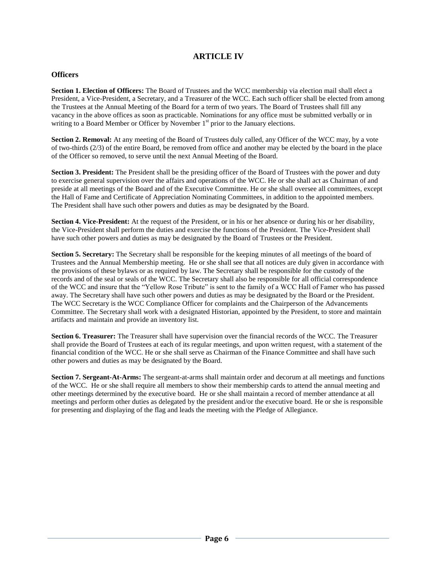## **ARTICLE IV**

## **Officers**

**Section 1. Election of Officers:** The Board of Trustees and the WCC membership via election mail shall elect a President, a Vice-President, a Secretary, and a Treasurer of the WCC. Each such officer shall be elected from among the Trustees at the Annual Meeting of the Board for a term of two years. The Board of Trustees shall fill any vacancy in the above offices as soon as practicable. Nominations for any office must be submitted verbally or in writing to a Board Member or Officer by November  $1<sup>st</sup>$  prior to the January elections.

**Section 2. Removal:** At any meeting of the Board of Trustees duly called, any Officer of the WCC may, by a vote of two-thirds (2/3) of the entire Board, be removed from office and another may be elected by the board in the place of the Officer so removed, to serve until the next Annual Meeting of the Board.

**Section 3. President:** The President shall be the presiding officer of the Board of Trustees with the power and duty to exercise general supervision over the affairs and operations of the WCC. He or she shall act as Chairman of and preside at all meetings of the Board and of the Executive Committee. He or she shall oversee all committees, except the Hall of Fame and Certificate of Appreciation Nominating Committees, in addition to the appointed members. The President shall have such other powers and duties as may be designated by the Board.

**Section 4. Vice-President:** At the request of the President, or in his or her absence or during his or her disability, the Vice-President shall perform the duties and exercise the functions of the President. The Vice-President shall have such other powers and duties as may be designated by the Board of Trustees or the President.

**Section 5. Secretary:** The Secretary shall be responsible for the keeping minutes of all meetings of the board of Trustees and the Annual Membership meeting. He or she shall see that all notices are duly given in accordance with the provisions of these bylaws or as required by law. The Secretary shall be responsible for the custody of the records and of the seal or seals of the WCC. The Secretary shall also be responsible for all official correspondence of the WCC and insure that the "Yellow Rose Tribute" is sent to the family of a WCC Hall of Famer who has passed away. The Secretary shall have such other powers and duties as may be designated by the Board or the President. The WCC Secretary is the WCC Compliance Officer for complaints and the Chairperson of the Advancements Committee. The Secretary shall work with a designated Historian, appointed by the President, to store and maintain artifacts and maintain and provide an inventory list.

**Section 6. Treasurer:** The Treasurer shall have supervision over the financial records of the WCC. The Treasurer shall provide the Board of Trustees at each of its regular meetings, and upon written request, with a statement of the financial condition of the WCC. He or she shall serve as Chairman of the Finance Committee and shall have such other powers and duties as may be designated by the Board.

**Section 7. Sergeant-At-Arms:** The sergeant-at-arms shall maintain order and decorum at all meetings and functions of the WCC. He or she shall require all members to show their membership cards to attend the annual meeting and other meetings determined by the executive board. He or she shall maintain a record of member attendance at all meetings and perform other duties as delegated by the president and/or the executive board. He or she is responsible for presenting and displaying of the flag and leads the meeting with the Pledge of Allegiance.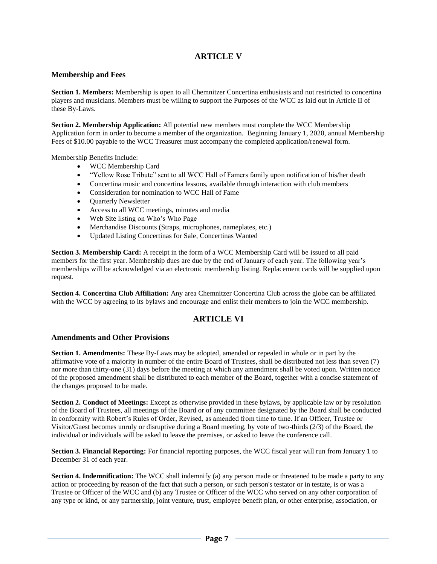## **ARTICLE V**

## **Membership and Fees**

**Section 1. Members:** Membership is open to all Chemnitzer Concertina enthusiasts and not restricted to concertina players and musicians. Members must be willing to support the Purposes of the WCC as laid out in Article II of these By-Laws.

**Section 2. Membership Application:** All potential new members must complete the WCC Membership Application form in order to become a member of the organization. Beginning January 1, 2020, annual Membership Fees of \$10.00 payable to the WCC Treasurer must accompany the completed application/renewal form.

Membership Benefits Include:

- WCC Membership Card
- "Yellow Rose Tribute" sent to all WCC Hall of Famers family upon notification of his/her death
- Concertina music and concertina lessons, available through interaction with club members
- Consideration for nomination to WCC Hall of Fame
- Ouarterly Newsletter
- Access to all WCC meetings, minutes and media
- Web Site listing on Who's Who Page
- Merchandise Discounts (Straps, microphones, nameplates, etc.)
- Updated Listing Concertinas for Sale, Concertinas Wanted

**Section 3. Membership Card:** A receipt in the form of a WCC Membership Card will be issued to all paid members for the first year. Membership dues are due by the end of January of each year. The following year's memberships will be acknowledged via an electronic membership listing. Replacement cards will be supplied upon request.

**Section 4. Concertina Club Affiliation:** Any area Chemnitzer Concertina Club across the globe can be affiliated with the WCC by agreeing to its bylaws and encourage and enlist their members to join the WCC membership.

## **ARTICLE VI**

## **Amendments and Other Provisions**

**Section 1. Amendments:** These By-Laws may be adopted, amended or repealed in whole or in part by the affirmative vote of a majority in number of the entire Board of Trustees, shall be distributed not less than seven (7) nor more than thirty-one (31) days before the meeting at which any amendment shall be voted upon. Written notice of the proposed amendment shall be distributed to each member of the Board, together with a concise statement of the changes proposed to be made.

**Section 2. Conduct of Meetings:** Except as otherwise provided in these bylaws, by applicable law or by resolution of the Board of Trustees, all meetings of the Board or of any committee designated by the Board shall be conducted in conformity with Robert's Rules of Order, Revised, as amended from time to time. If an Officer, Trustee or Visitor/Guest becomes unruly or disruptive during a Board meeting, by vote of two-thirds (2/3) of the Board, the individual or individuals will be asked to leave the premises, or asked to leave the conference call.

**Section 3. Financial Reporting:** For financial reporting purposes, the WCC fiscal year will run from January 1 to December 31 of each year.

**Section 4. Indemnification:** The WCC shall indemnify (a) any person made or threatened to be made a party to any action or proceeding by reason of the fact that such a person, or such person's testator or in testate, is or was a Trustee or Officer of the WCC and (b) any Trustee or Officer of the WCC who served on any other corporation of any type or kind, or any partnership, joint venture, trust, employee benefit plan, or other enterprise, association, or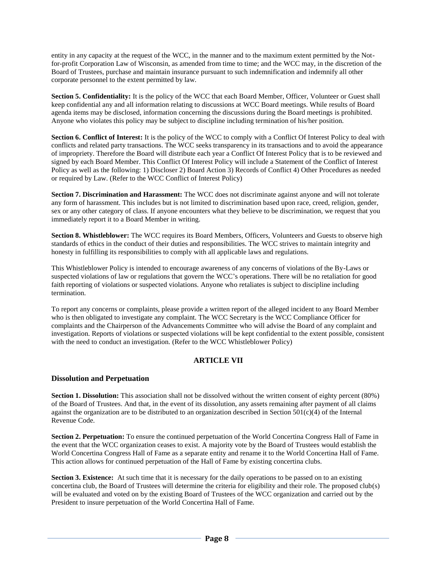entity in any capacity at the request of the WCC, in the manner and to the maximum extent permitted by the Notfor-profit Corporation Law of Wisconsin, as amended from time to time; and the WCC may, in the discretion of the Board of Trustees, purchase and maintain insurance pursuant to such indemnification and indemnify all other corporate personnel to the extent permitted by law.

**Section 5. Confidentiality:** It is the policy of the WCC that each Board Member, Officer, Volunteer or Guest shall keep confidential any and all information relating to discussions at WCC Board meetings. While results of Board agenda items may be disclosed, information concerning the discussions during the Board meetings is prohibited. Anyone who violates this policy may be subject to discipline including termination of his/her position.

**Section 6. Conflict of Interest:** It is the policy of the WCC to comply with a Conflict Of Interest Policy to deal with conflicts and related party transactions. The WCC seeks transparency in its transactions and to avoid the appearance of impropriety. Therefore the Board will distribute each year a Conflict Of Interest Policy that is to be reviewed and signed by each Board Member. This Conflict Of Interest Policy will include a Statement of the Conflict of Interest Policy as well as the following: 1) Discloser 2) Board Action 3) Records of Conflict 4) Other Procedures as needed or required by Law. (Refer to the WCC Conflict of Interest Policy)

**Section 7. Discrimination and Harassment:** The WCC does not discriminate against anyone and will not tolerate any form of harassment. This includes but is not limited to discrimination based upon race, creed, religion, gender, sex or any other category of class. If anyone encounters what they believe to be discrimination, we request that you immediately report it to a Board Member in writing.

**Section 8. Whistleblower:** The WCC requires its Board Members, Officers, Volunteers and Guests to observe high standards of ethics in the conduct of their duties and responsibilities. The WCC strives to maintain integrity and honesty in fulfilling its responsibilities to comply with all applicable laws and regulations.

This Whistleblower Policy is intended to encourage awareness of any concerns of violations of the By-Laws or suspected violations of law or regulations that govern the WCC's operations. There will be no retaliation for good faith reporting of violations or suspected violations. Anyone who retaliates is subject to discipline including termination.

To report any concerns or complaints, please provide a written report of the alleged incident to any Board Member who is then obligated to investigate any complaint. The WCC Secretary is the WCC Compliance Officer for complaints and the Chairperson of the Advancements Committee who will advise the Board of any complaint and investigation. Reports of violations or suspected violations will be kept confidential to the extent possible, consistent with the need to conduct an investigation. (Refer to the WCC Whistleblower Policy)

## **ARTICLE VII**

## **Dissolution and Perpetuation**

**Section 1. Dissolution:** This association shall not be dissolved without the written consent of eighty percent (80%) of the Board of Trustees. And that, in the event of its dissolution, any assets remaining after payment of all claims against the organization are to be distributed to an organization described in Section  $501(c)(4)$  of the Internal Revenue Code.

**Section 2. Perpetuation:** To ensure the continued perpetuation of the World Concertina Congress Hall of Fame in the event that the WCC organization ceases to exist. A majority vote by the Board of Trustees would establish the World Concertina Congress Hall of Fame as a separate entity and rename it to the World Concertina Hall of Fame. This action allows for continued perpetuation of the Hall of Fame by existing concertina clubs.

**Section 3. Existence:** At such time that it is necessary for the daily operations to be passed on to an existing concertina club, the Board of Trustees will determine the criteria for eligibility and their role. The proposed club(s) will be evaluated and voted on by the existing Board of Trustees of the WCC organization and carried out by the President to insure perpetuation of the World Concertina Hall of Fame.